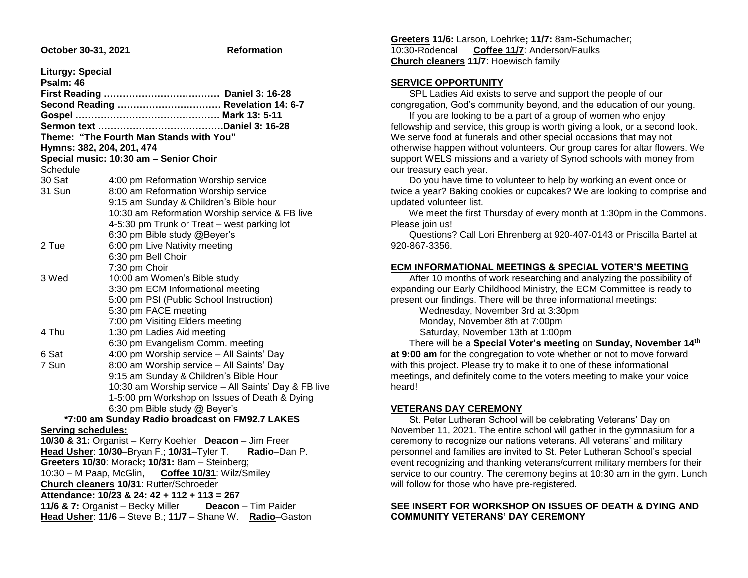| October 30-31, 2021 |  |  |
|---------------------|--|--|
|---------------------|--|--|

**Reformation** 

| <b>Liturgy: Special</b>                                   |                                                            |  |
|-----------------------------------------------------------|------------------------------------------------------------|--|
| Psalm: 46                                                 | Second Reading  Revelation 14: 6-7                         |  |
|                                                           |                                                            |  |
|                                                           |                                                            |  |
|                                                           | Theme: "The Fourth Man Stands with You"                    |  |
| Hymns: 382, 204, 201, 474                                 |                                                            |  |
|                                                           | Special music: 10:30 am - Senior Choir                     |  |
| Schedule                                                  |                                                            |  |
| 30 Sat                                                    | 4:00 pm Reformation Worship service                        |  |
| 31 Sun                                                    | 8:00 am Reformation Worship service                        |  |
|                                                           | 9:15 am Sunday & Children's Bible hour                     |  |
|                                                           | 10:30 am Reformation Worship service & FB live             |  |
|                                                           | 4-5:30 pm Trunk or Treat - west parking lot                |  |
|                                                           | 6:30 pm Bible study @Beyer's                               |  |
| 2 Tue                                                     | 6:00 pm Live Nativity meeting                              |  |
|                                                           | 6:30 pm Bell Choir                                         |  |
|                                                           | 7:30 pm Choir                                              |  |
| 3 Wed                                                     | 10:00 am Women's Bible study                               |  |
|                                                           | 3:30 pm ECM Informational meeting                          |  |
|                                                           | 5:00 pm PSI (Public School Instruction)                    |  |
|                                                           | 5:30 pm FACE meeting                                       |  |
|                                                           | 7:00 pm Visiting Elders meeting                            |  |
| 4 Thu                                                     | 1:30 pm Ladies Aid meeting                                 |  |
|                                                           | 6:30 pm Evangelism Comm. meeting                           |  |
| 6 Sat                                                     | 4:00 pm Worship service - All Saints' Day                  |  |
| 7 Sun                                                     | 8:00 am Worship service - All Saints' Day                  |  |
|                                                           | 9:15 am Sunday & Children's Bible Hour                     |  |
|                                                           | 10:30 am Worship service - All Saints' Day & FB live       |  |
|                                                           | 1-5:00 pm Workshop on Issues of Death & Dying              |  |
|                                                           | 6:30 pm Bible study @ Beyer's                              |  |
|                                                           | *7:00 am Sunday Radio broadcast on FM92.7 LAKES            |  |
| <b>Serving schedules:</b>                                 |                                                            |  |
|                                                           | 10/30 & 31: Organist - Kerry Koehler Deacon - Jim Freer    |  |
|                                                           | Head Usher: 10/30-Bryan F.; 10/31-Tyler T.<br>Radio-Dan P. |  |
|                                                           | Greeters 10/30: Morack; 10/31: 8am - Steinberg;            |  |
|                                                           | 10:30 - M Paap, McGlin, Coffee 10/31: Wilz/Smiley          |  |
|                                                           | Church cleaners 10/31: Rutter/Schroeder                    |  |
| Attendance: 10/23 & 24: 42 + 112 + 113 = 267              |                                                            |  |
| 11/6 & 7: Organist - Becky Miller Deacon - Tim Paider     |                                                            |  |
| Head Usher: 11/6 - Steve B.; 11/7 - Shane W. Radio-Gaston |                                                            |  |

**Greeters 11/6:** Larson, Loehrke**; 11/7:** 8am**-**Schumacher; 10:30**-**Rodencal **Coffee 11/7**: Anderson/Faulks **Church cleaners 11/7**: Hoewisch family

#### **SERVICE OPPORTUNITY**

 SPL Ladies Aid exists to serve and support the people of our congregation, God's community beyond, and the education of our young.

 If you are looking to be a part of a group of women who enjoy fellowship and service, this group is worth giving a look, or a second look. We serve food at funerals and other special occasions that may not otherwise happen without volunteers. Our group cares for altar flowers. We support WELS missions and a variety of Synod schools with money from our treasury each year.

 Do you have time to volunteer to help by working an event once or twice a year? Baking cookies or cupcakes? We are looking to comprise and updated volunteer list.

 We meet the first Thursday of every month at 1:30pm in the Commons. Please join us!

 Questions? Call Lori Ehrenberg at 920-407-0143 or Priscilla Bartel at 920-867-3356.

## **ECM INFORMATIONAL MEETINGS & SPECIAL VOTER'S MEETING**

 After 10 months of work researching and analyzing the possibility of expanding our Early Childhood Ministry, the ECM Committee is ready to present our findings. There will be three informational meetings:

 Wednesday, November 3rd at 3:30pm Monday, November 8th at 7:00pm Saturday, November 13th at 1:00pm

 There will be a **Special Voter's meeting** on **Sunday, November 14th at 9:00 am** for the congregation to vote whether or not to move forward with this project. Please try to make it to one of these informational meetings, and definitely come to the voters meeting to make your voice heard!

#### **VETERANS DAY CEREMONY**

 St. Peter Lutheran School will be celebrating Veterans' Day on November 11, 2021. The entire school will gather in the gymnasium for a ceremony to recognize our nations veterans. All veterans' and military personnel and families are invited to St. Peter Lutheran School's special event recognizing and thanking veterans/current military members for their service to our country. The ceremony begins at 10:30 am in the gym. Lunch will follow for those who have pre-registered.

#### **SEE INSERT FOR WORKSHOP ON ISSUES OF DEATH & DYING AND COMMUNITY VETERANS' DAY CEREMONY**